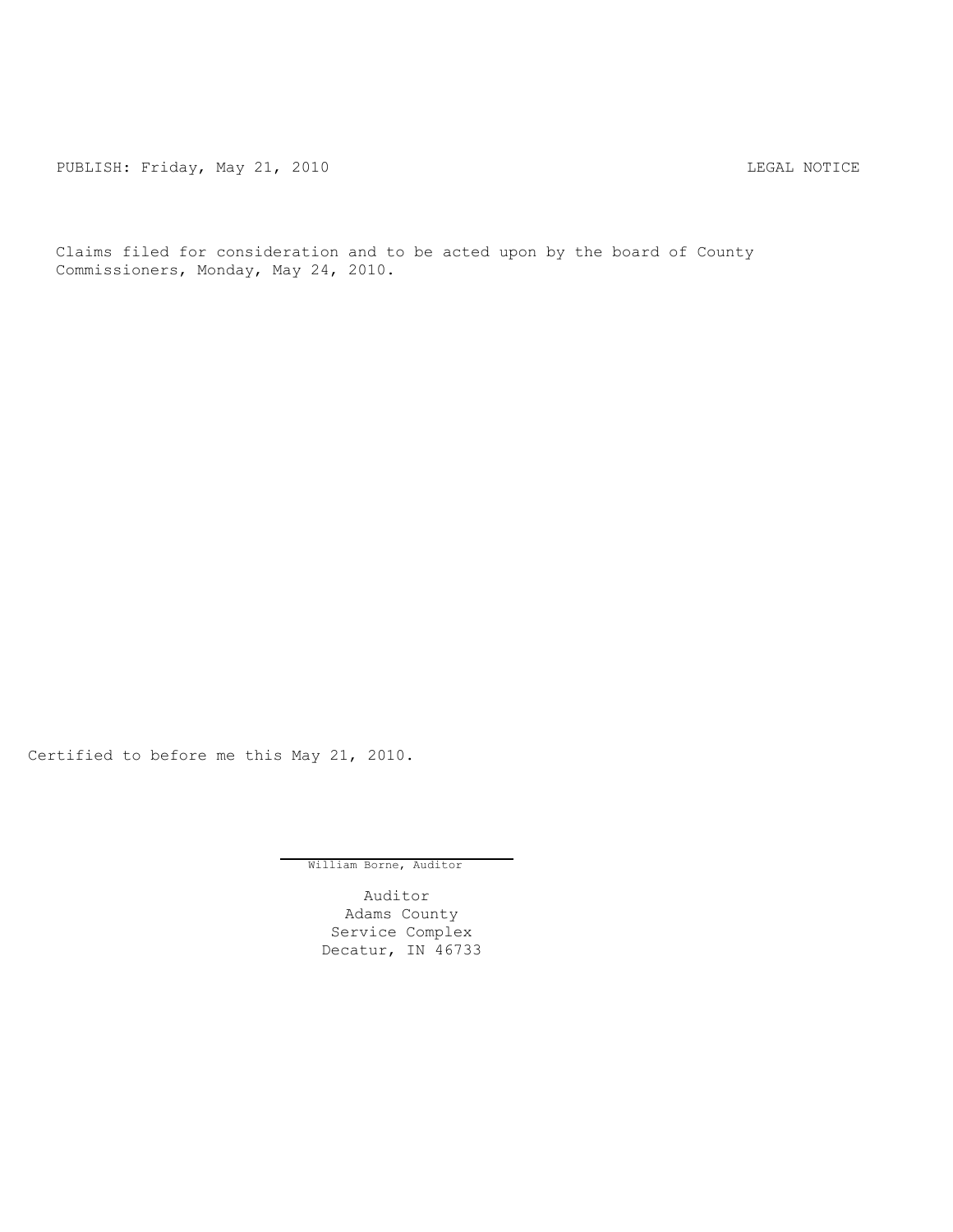PUBLISH: Friday, May 21, 2010 CHA CHANGE CONTROLLY AND THE LEGAL NOTICE

Claims filed for consideration and to be acted upon by the board of County Commissioners, Monday, May 24, 2010.

Certified to before me this May 21, 2010.

William Borne, Auditor

Auditor Adams County Service Complex Decatur, IN 46733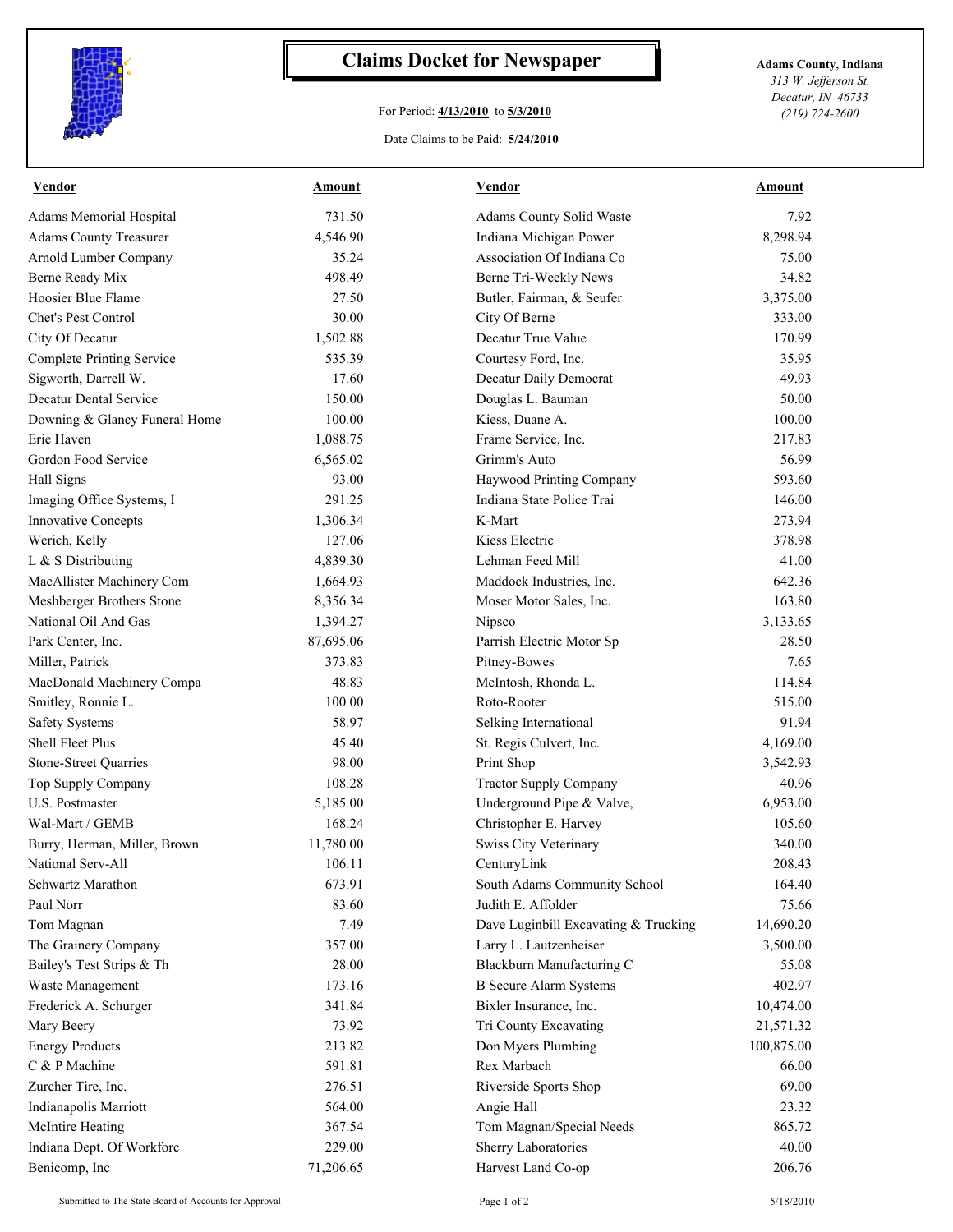

## **Claims Docket for Newspaper Adams County, Indiana**

## For Period: **4/13/2010** to **5/3/2010**

*313 W. Jefferson St. Decatur, IN 46733 (219) 724-2600*

## Date Claims to be Paid: **5/24/2010**

| Vendor                           | <b>Amount</b> | <b>Vendor</b>                        | <b>Amount</b> |
|----------------------------------|---------------|--------------------------------------|---------------|
| Adams Memorial Hospital          | 731.50        | Adams County Solid Waste             | 7.92          |
| <b>Adams County Treasurer</b>    | 4,546.90      | Indiana Michigan Power               | 8,298.94      |
| Arnold Lumber Company            | 35.24         | Association Of Indiana Co            | 75.00         |
| Berne Ready Mix                  | 498.49        | Berne Tri-Weekly News                | 34.82         |
| Hoosier Blue Flame               | 27.50         | Butler, Fairman, & Seufer            | 3,375.00      |
| Chet's Pest Control              | 30.00         | City Of Berne                        | 333.00        |
| City Of Decatur                  | 1,502.88      | Decatur True Value                   | 170.99        |
| <b>Complete Printing Service</b> | 535.39        | Courtesy Ford, Inc.                  | 35.95         |
| Sigworth, Darrell W.             | 17.60         | Decatur Daily Democrat               | 49.93         |
| Decatur Dental Service           | 150.00        | Douglas L. Bauman                    | 50.00         |
| Downing & Glancy Funeral Home    | 100.00        | Kiess, Duane A.                      | 100.00        |
| Erie Haven                       | 1,088.75      | Frame Service, Inc.                  | 217.83        |
| Gordon Food Service              | 6,565.02      | Grimm's Auto                         | 56.99         |
| Hall Signs                       | 93.00         | Haywood Printing Company             | 593.60        |
| Imaging Office Systems, I        | 291.25        | Indiana State Police Trai            | 146.00        |
| <b>Innovative Concepts</b>       | 1,306.34      | K-Mart                               | 273.94        |
| Werich, Kelly                    | 127.06        | Kiess Electric                       | 378.98        |
| L & S Distributing               | 4,839.30      | Lehman Feed Mill                     | 41.00         |
| MacAllister Machinery Com        | 1,664.93      | Maddock Industries, Inc.             | 642.36        |
| Meshberger Brothers Stone        | 8,356.34      | Moser Motor Sales, Inc.              | 163.80        |
| National Oil And Gas             | 1,394.27      | Nipsco                               | 3,133.65      |
| Park Center, Inc.                | 87,695.06     | Parrish Electric Motor Sp            | 28.50         |
| Miller, Patrick                  | 373.83        | Pitney-Bowes                         | 7.65          |
| MacDonald Machinery Compa        | 48.83         | McIntosh, Rhonda L.                  | 114.84        |
| Smitley, Ronnie L.               | 100.00        | Roto-Rooter                          | 515.00        |
| <b>Safety Systems</b>            | 58.97         | Selking International                | 91.94         |
| Shell Fleet Plus                 | 45.40         | St. Regis Culvert, Inc.              | 4,169.00      |
| Stone-Street Quarries            | 98.00         | Print Shop                           | 3,542.93      |
| Top Supply Company               | 108.28        | <b>Tractor Supply Company</b>        | 40.96         |
| U.S. Postmaster                  | 5,185.00      | Underground Pipe & Valve,            | 6,953.00      |
| Wal-Mart / GEMB                  | 168.24        | Christopher E. Harvey                | 105.60        |
| Burry, Herman, Miller, Brown     | 11,780.00     | Swiss City Veterinary                | 340.00        |
| National Serv-All                | 106.11        | CenturyLink                          | 208.43        |
| Schwartz Marathon                | 673.91        | South Adams Community School         | 164.40        |
| Paul Norr                        | 83.60         | Judith E. Affolder                   | 75.66         |
| Tom Magnan                       | 7.49          | Dave Luginbill Excavating & Trucking | 14,690.20     |
| The Grainery Company             | 357.00        | Larry L. Lautzenheiser               | 3,500.00      |
| Bailey's Test Strips & Th        | 28.00         | Blackburn Manufacturing C            | 55.08         |
| Waste Management                 | 173.16        | <b>B</b> Secure Alarm Systems        | 402.97        |
| Frederick A. Schurger            | 341.84        | Bixler Insurance, Inc.               | 10,474.00     |
| Mary Beery                       | 73.92         | Tri County Excavating                | 21,571.32     |
| <b>Energy Products</b>           | 213.82        | Don Myers Plumbing                   | 100,875.00    |
| C & P Machine                    | 591.81        | Rex Marbach                          | 66.00         |
| Zurcher Tire, Inc.               | 276.51        | Riverside Sports Shop                | 69.00         |
| Indianapolis Marriott            | 564.00        | Angie Hall                           | 23.32         |
| <b>McIntire Heating</b>          | 367.54        | Tom Magnan/Special Needs             | 865.72        |
| Indiana Dept. Of Workforc        | 229.00        | Sherry Laboratories                  | 40.00         |
| Benicomp, Inc                    | 71,206.65     | Harvest Land Co-op                   | 206.76        |